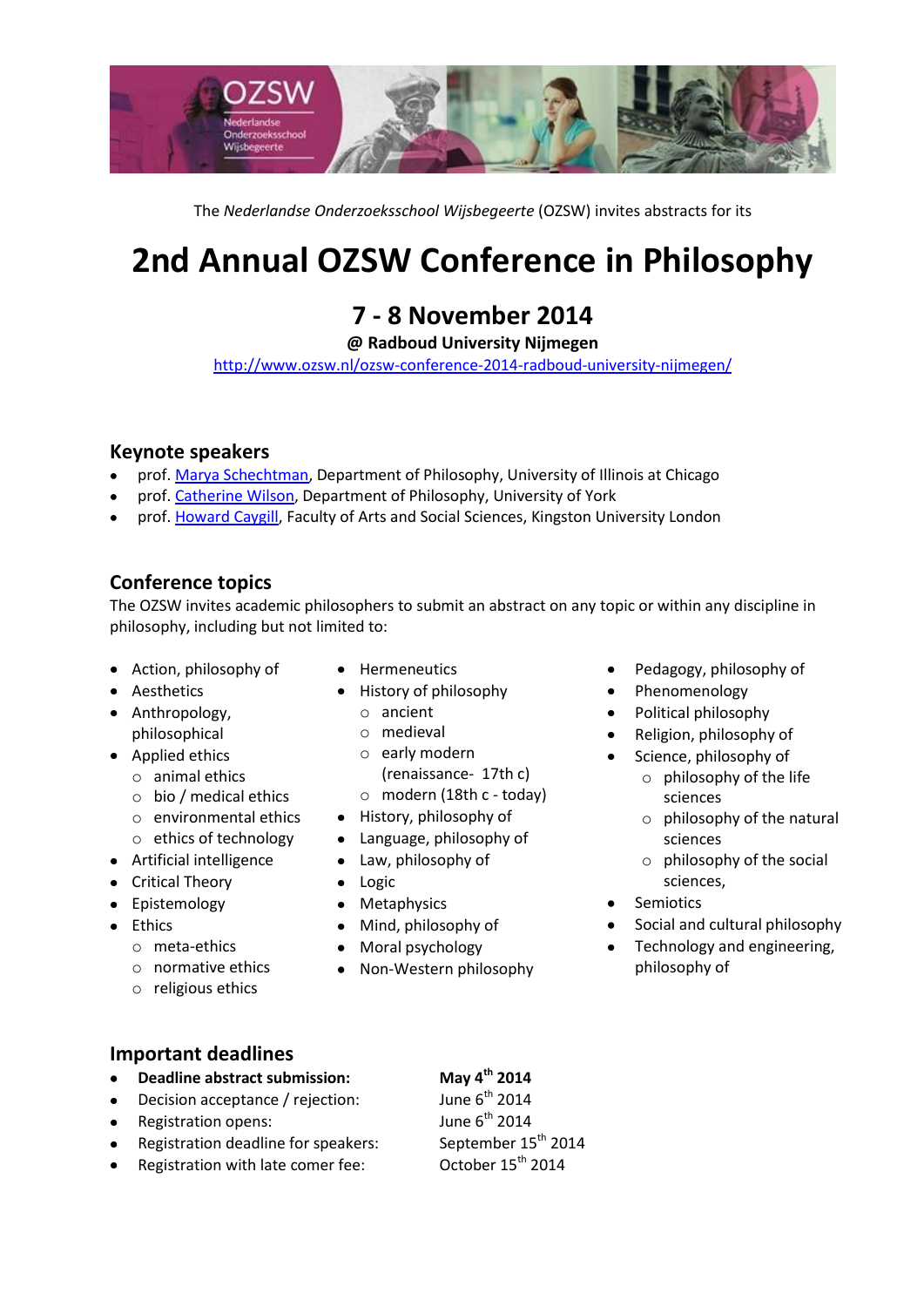

The *Nederlandse Onderzoeksschool Wijsbegeerte* (OZSW) invites abstracts for its

# **2nd Annual OZSW Conference in Philosophy**

## **7 - 8 November 2014**

**@ Radboud University Nijmegen**

<http://www.ozsw.nl/ozsw-conference-2014-radboud-university-nijmegen/>

#### **Keynote speakers**

- prof[. Marya Schechtman,](http://philosophy.las.uic.edu/philosophy/people/faculty/marya) Department of Philosophy, University of Illinois at Chicago
- prof[. Catherine Wilson,](http://www.york.ac.uk/philosophy/about/staff/catherine-wilson/) Department of Philosophy, University of York
- prof[. Howard Caygill,](http://fass.kingston.ac.uk/faculty/staff/cv.php?staffnum=777) Faculty of Arts and Social Sciences, Kingston University London

#### **Conference topics**

The OZSW invites academic philosophers to submit an abstract on any topic or within any discipline in philosophy, including but not limited to:

- Action, philosophy of
- Aesthetics
- Anthropology, philosophical
- Applied ethics
	- o animal ethics
	- o bio / medical ethics
	- o environmental ethics
	- o ethics of technology
- Artificial intelligence
- Critical Theory
- Epistemology
- Ethics
	- o meta-ethics
	- o normative ethics
	- o religious ethics
- Hermeneutics
- History of philosophy
	- o ancient
	- o medieval
	- o early modern (renaissance- 17th c)
	- o modern (18th c today)
- History, philosophy of
- Language, philosophy of
- Law, philosophy of
- Logic
- Metaphysics
- Mind, philosophy of  $\bullet$
- Moral psychology  $\bullet$
- Non-Western philosophy  $\bullet$
- Pedagogy, philosophy of
- Phenomenology  $\bullet$
- Political philosophy
- Religion, philosophy of
	- Science, philosophy of o philosophy of the life
		- sciences o philosophy of the natural
		- sciences
		- o philosophy of the social sciences,
- Semiotics
- Social and cultural philosophy
- Technology and engineering, philosophy of

#### **Important deadlines**

- **Deadline abstract submission: May 4th 2014**  $\bullet$
- Decision acceptance / rejection:
- $\bullet$
- Registration deadline for speakers:  $\bullet$
- Registration with late comer fee: 0ctober 15<sup>th</sup> 2014

June 6<sup>th</sup> 2014 Registration opens:  $J$ une 6<sup>th</sup> 2014<br>Registration deadline for speakers: September 15<sup>th</sup> 2014 June 6<sup>th</sup> 2014

- 
-